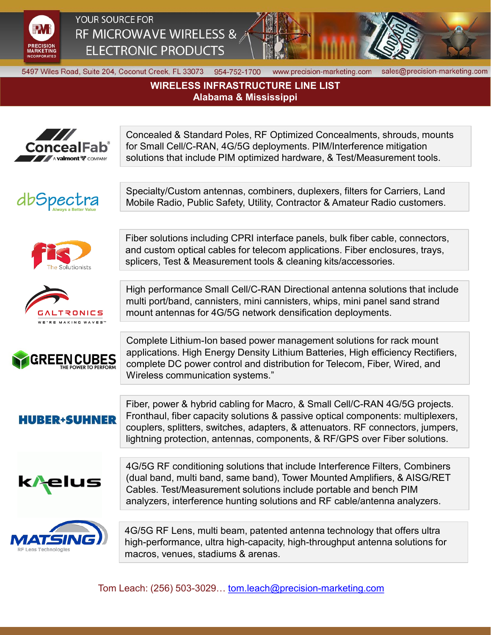

YOUR SOURCE FOR RF MICROWAVE WIRELESS & **ELECTRONIC PRODUCTS** 



5497 Wiles Road, Suite 204, Coconut Creek, FL 33073 954-752-1700

www.precision-marketing.com

sales@precision-marketing.com

## **WIRELESS INFRASTRUCTURE LINE LIST Alabama & Mississippi**